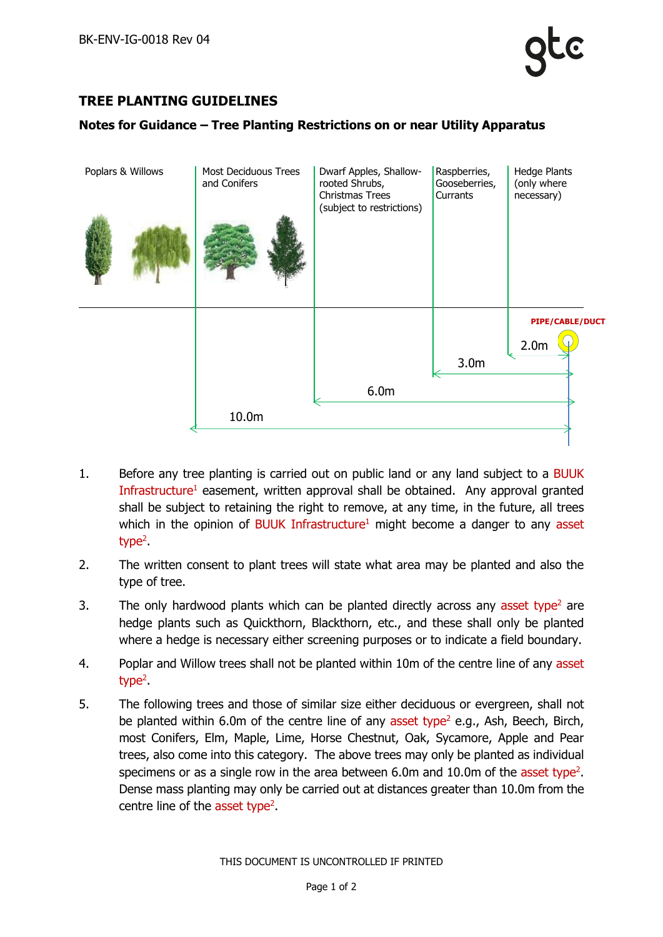

## **TREE PLANTING GUIDELINES**

## **Notes for Guidance – Tree Planting Restrictions on or near Utility Apparatus**



- 1. Before any tree planting is carried out on public land or any land subject to a BUUK Infrastructure<sup>1</sup> easement, written approval shall be obtained. Any approval granted shall be subject to retaining the right to remove, at any time, in the future, all trees which in the opinion of BUUK Infrastructure<sup>1</sup> might become a danger to any asset type<sup>2</sup> .
- 2. The written consent to plant trees will state what area may be planted and also the type of tree.
- 3. The only hardwood plants which can be planted directly across any asset type<sup>2</sup> are hedge plants such as Quickthorn, Blackthorn, etc., and these shall only be planted where a hedge is necessary either screening purposes or to indicate a field boundary.
- 4. Poplar and Willow trees shall not be planted within 10m of the centre line of any asset type<sup>2</sup> .
- 5. The following trees and those of similar size either deciduous or evergreen, shall not be planted within 6.0m of the centre line of any asset type<sup>2</sup> e.g., Ash, Beech, Birch, most Conifers, Elm, Maple, Lime, Horse Chestnut, Oak, Sycamore, Apple and Pear trees, also come into this category. The above trees may only be planted as individual specimens or as a single row in the area between  $6.0$ m and  $10.0$ m of the asset type<sup>2</sup>. Dense mass planting may only be carried out at distances greater than 10.0m from the centre line of the asset type<sup>2</sup>.